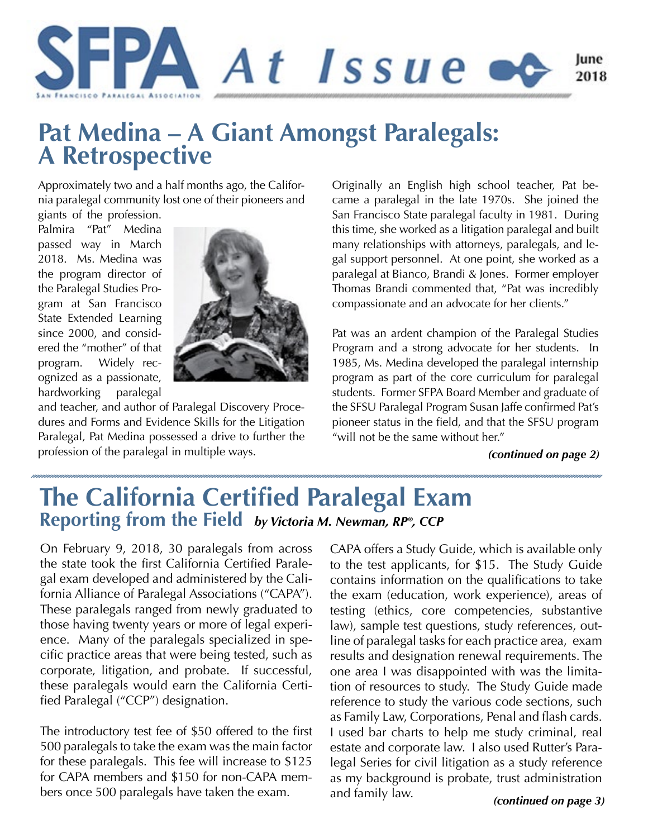

# **Pat Medina – A Giant Amongst Paralegals: A Retrospective**

Approximately two and a half months ago, the California paralegal community lost one of their pioneers and giants of the profession.

Palmira "Pat" Medina passed way in March 2018. Ms. Medina was the program director of the Paralegal Studies Program at San Francisco State Extended Learning since 2000, and considered the "mother" of that program. Widely recognized as a passionate, hardworking paralegal



and teacher, and author of Paralegal Discovery Procedures and Forms and Evidence Skills for the Litigation Paralegal, Pat Medina possessed a drive to further the profession of the paralegal in multiple ways.

Originally an English high school teacher, Pat became a paralegal in the late 1970s. She joined the San Francisco State paralegal faculty in 1981. During this time, she worked as a litigation paralegal and built many relationships with attorneys, paralegals, and legal support personnel. At one point, she worked as a paralegal at Bianco, Brandi & Jones. Former employer Thomas Brandi commented that, "Pat was incredibly compassionate and an advocate for her clients."

Pat was an ardent champion of the Paralegal Studies Program and a strong advocate for her students. In 1985, Ms. Medina developed the paralegal internship program as part of the core curriculum for paralegal students. Former SFPA Board Member and graduate of the SFSU Paralegal Program Susan Jaffe confirmed Pat's pioneer status in the field, and that the SFSU program "will not be the same without her."

*(continued on page 2)*

# **The California Certified Paralegal Exam Reporting from the Field** *by Victoria M. Newman, RP®, CCP*

On February 9, 2018, 30 paralegals from across the state took the first California Certified Paralegal exam developed and administered by the California Alliance of Paralegal Associations ("CAPA"). These paralegals ranged from newly graduated to those having twenty years or more of legal experience. Many of the paralegals specialized in specific practice areas that were being tested, such as corporate, litigation, and probate. If successful, these paralegals would earn the California Certified Paralegal ("CCP") designation.

The introductory test fee of \$50 offered to the first 500 paralegals to take the exam was the main factor for these paralegals. This fee will increase to \$125 for CAPA members and \$150 for non-CAPA members once 500 paralegals have taken the exam.

CAPA offers a Study Guide, which is available only to the test applicants, for \$15. The Study Guide contains information on the qualifications to take the exam (education, work experience), areas of testing (ethics, core competencies, substantive law), sample test questions, study references, outline of paralegal tasks for each practice area, exam results and designation renewal requirements. The one area I was disappointed with was the limitation of resources to study. The Study Guide made reference to study the various code sections, such as Family Law, Corporations, Penal and flash cards. I used bar charts to help me study criminal, real estate and corporate law. I also used Rutter's Paralegal Series for civil litigation as a study reference as my background is probate, trust administration and family law.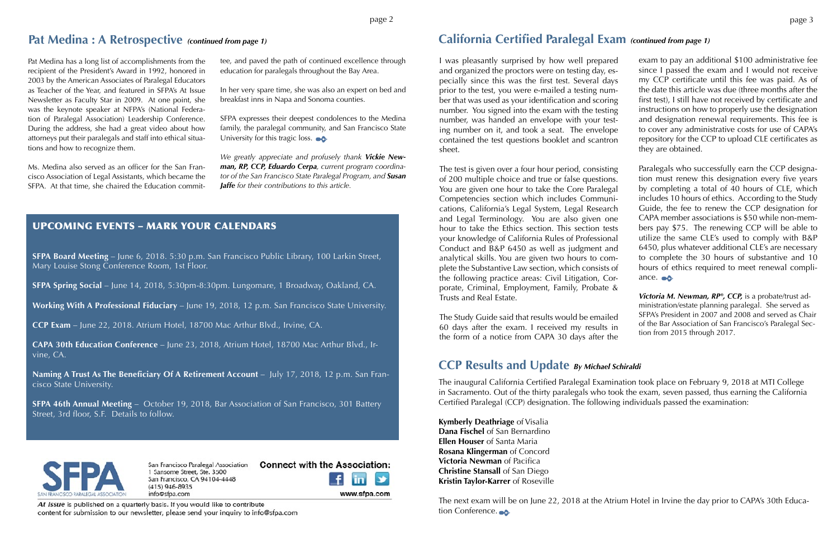Pat Medina has a long list of accomplishments from the recipient of the President's Award in 1992, honored in 2003 by the American Associates of Paralegal Educators as Teacher of the Year, and featured in SFPA's At Issue Newsletter as Faculty Star in 2009. At one point, she was the keynote speaker at NFPA's (National Federation of Paralegal Association) Leadership Conference. During the address, she had a great video about how attorneys put their paralegals and staff into ethical situations and how to recognize them.

SFPA expresses their deepest condolences to the Medina family, the paralegal community, and San Francisco State University for this tragic loss.  $\bullet \bullet$ 

Ms. Medina also served as an officer for the San Francisco Association of Legal Assistants, which became the SFPA. At that time, she chaired the Education committee, and paved the path of continued excellence through education for paralegals throughout the Bay Area.

In her very spare time, she was also an expert on bed and breakfast inns in Napa and Sonoma counties.

**Naming A Trust As The Beneficiary Of A Retirement Account - July 17, 2018, 12 p.m. San Fran**cisco State University.

*We greatly appreciate and profusely thank Vickie Newman, RP, CCP, Eduardo Cerpa, current program coordinator of the San Francisco State Paralegal Program, and Susan Jaffe for their contributions to this article.*

## **Pat Medina : A Retrospective** *(continued from page 1)*

## **California Certified Paralegal Exam** *(continued from page 1)*

### **CCP Results and Update** *By Michael Schiraldi*

### UPCOMING EVENTS – MARK YOUR CALENDARS

**SFPA Board Meeting** – June 6, 2018. 5:30 p.m. San Francisco Public Library, 100 Larkin Street, Mary Louise Stong Conference Room, 1st Floor.

**SFPA Spring Social** – June 14, 2018, 5:30pm-8:30pm. Lungomare, 1 Broadway, Oakland, CA.

**Working With A Professional Fiduciary** – June 19, 2018, 12 p.m. San Francisco State University.

**CCP Exam** – June 22, 2018. Atrium Hotel, 18700 Mac Arthur Blvd., Irvine, CA.

**CAPA 30th Education Conference** – June 23, 2018, Atrium Hotel, 18700 Mac Arthur Blvd., Irvine, CA.

**SFPA 46th Annual Meeting** – October 19, 2018, Bar Association of San Francisco, 301 Battery Street, 3rd floor, S.F. Details to follow.



San Francisco Paralegal Association 1 Sansome Street, Ste. 3500 San Francisco, CA 94104-4448  $(415)$  946-8935 info@sfpa.com



www.sfpa.com

At Issue is published on a quarterly basis. If you would like to contribute content for submission to our newsletter, please send your inquiry to info@sfpa.com

The next exam will be on June 22, 2018 at the Atrium Hotel in Irvine the day prior to CAPA's 30th Education Conference.

I was pleasantly surprised by how well prepared and organized the proctors were on testing day, especially since this was the first test. Several days prior to the test, you were e-mailed a testing number that was used as your identification and scoring number. You signed into the exam with the testing number, was handed an envelope with your testing number on it, and took a seat. The envelope contained the test questions booklet and scantron sheet. exam to pay an additional \$100 administrative fee since I passed the exam and I would not receive my CCP certificate until this fee was paid. As of the date this article was due (three months after the first test), I still have not received by certificate and instructions on how to properly use the designation and designation renewal requirements. This fee is to cover any administrative costs for use of CAPA's repository for the CCP to upload CLE certificates as they are obtained.

The test is given over a four hour period, consisting of 200 multiple choice and true or false questions. You are given one hour to take the Core Paralegal Competencies section which includes Communications, California's Legal System, Legal Research and Legal Terminology. You are also given one hour to take the Ethics section. This section tests your knowledge of California Rules of Professional Conduct and B&P 6450 as well as judgment and analytical skills. You are given two hours to complete the Substantive Law section, which consists of the following practice areas: Civil Litigation, Corporate, Criminal, Employment, Family, Probate & Trusts and Real Estate. Paralegals who successfully earn the CCP designation must renew this designation every five years by completing a total of 40 hours of CLE, which includes 10 hours of ethics. According to the Study Guide, the fee to renew the CCP designation for CAPA member associations is \$50 while non-members pay \$75. The renewing CCP will be able to utilize the same CLE's used to comply with B&P 6450, plus whatever additional CLE's are necessary to complete the 30 hours of substantive and 10 hours of ethics required to meet renewal compliance.  $\bullet\bullet$ *Victoria M. Newman, RP®, CCP,* is a probate/trust ad-

The Study Guide said that results would be emailed 60 days after the exam. I received my results in the form of a notice from CAPA 30 days after the ministration/estate planning paralegal. She served as SFPA's President in 2007 and 2008 and served as Chair of the Bar Association of San Francisco's Paralegal Section from 2015 through 2017.

The inaugural California Certified Paralegal Examination took place on February 9, 2018 at MTI College in Sacramento. Out of the thirty paralegals who took the exam, seven passed, thus earning the California Certified Paralegal (CCP) designation. The following individuals passed the examination:

**Kymberly Deathriage** of Visalia **Dana Fischel** of San Bernardino **Ellen Houser** of Santa Maria **Rosana Klingerman** of Concord **Victoria Newman** of Pacifica **Christine Stansall** of San Diego **Kristin Taylor-Karrer** of Roseville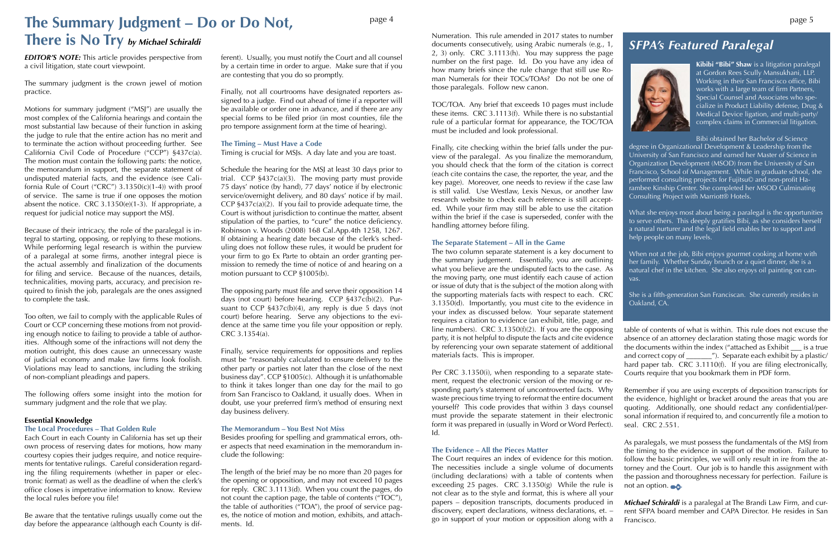*EDITOR'S NOTE:* This article provides perspective from a civil litigation, state court viewpoint.

The summary judgment is the crown jewel of motion practice.

Motions for summary judgment ("MSJ") are usually the most complex of the California hearings and contain the most substantial law because of their function in asking the judge to rule that the entire action has no merit and to terminate the action without proceeding further. See California Civil Code of Procedure ("CCP") §437c(a). The motion must contain the following parts: the notice, the memorandum in support, the separate statement of undisputed material facts, and the evidence (see California Rule of Court ("CRC")  $3.1350(c)(1-4)$ ) with proof of service. The same is true if one opposes the motion absent the notice. CRC 3.1350(e)(1-3). If appropriate, a request for judicial notice may support the MSJ.

Because of their intricacy, the role of the paralegal is integral to starting, opposing, or replying to these motions. While performing legal research is within the purview of a paralegal at some firms, another integral piece is the actual assembly and finalization of the documents for filing and service. Because of the nuances, details, technicalities, moving parts, accuracy, and precision required to finish the job, paralegals are the ones assigned to complete the task.

Too often, we fail to comply with the applicable Rules of Court or CCP concerning these motions from not providing enough notice to failing to provide a table of authorities. Although some of the infractions will not deny the motion outright, this does cause an unnecessary waste of judicial economy and make law firms look foolish. Violations may lead to sanctions, including the striking of non-compliant pleadings and papers.

The following offers some insight into the motion for summary judgment and the role that we play.

#### **Essential Knowledge**

#### **The Local Procedures – That Golden Rule**

Each Court in each County in California has set up their own process of reserving dates for motions, how many courtesy copies their judges require, and notice requirements for tentative rulings. Careful consideration regarding the filing requirements (whether in paper or electronic format) as well as the deadline of when the clerk's office closes is impetrative information to know. Review the local rules before you file!

Be aware that the tentative rulings usually come out the day before the appearance (although each County is different). Usually, you must notify the Court and all counsel by a certain time in order to argue. Make sure that if you are contesting that you do so promptly.

Finally, not all courtrooms have designated reporters assigned to a judge. Find out ahead of time if a reporter will be available or order one in advance, and if there are any special forms to be filed prior (in most counties, file the pro tempore assignment form at the time of hearing).

#### **The Timing – Must Have a Code**

Timing is crucial for MSJs. A day late and you are toast.

Schedule the hearing for the MSJ at least 30 days prior to trial. CCP  $\frac{5437c(a)}{3}$ . The moving party must provide 75 days' notice (by hand), 77 days' notice if by electronic service/overnight delivery, and 80 days' notice if by mail. CCP  $$437c(a)(2)$ . If you fail to provide adequate time, the Court is without jurisdiction to continue the matter, absent stipulation of the parties, to "cure" the notice deficiency. Robinson v. Woods (2008) 168 Cal.App.4th 1258, 1267. If obtaining a hearing date because of the clerk's scheduling does not follow these rules, it would be prudent for your firm to go Ex Parte to obtain an order granting permission to remedy the time of notice of and hearing on a motion pursuant to CCP §1005(b).

The opposing party must file and serve their opposition 14 days (not court) before hearing. CCP §437c(b)(2). Pursuant to CCP §437c(b)(4), any reply is due 5 days (not court) before hearing. Serve any objections to the evidence at the same time you file your opposition or reply. CRC 3.1354(a).

Finally, service requirements for oppositions and replies must be "reasonably calculated to ensure delivery to the other party or parties not later than the close of the next business day". CCP §1005(c). Although it is unfathomable to think it takes longer than one day for the mail to go from San Francisco to Oakland, it usually does. When in doubt, use your preferred firm's method of ensuring next day business delivery.

#### **The Memorandum – You Best Not Miss**

Besides proofing for spelling and grammatical errors, other aspects that need examination in the memorandum include the following:

The length of the brief may be no more than 20 pages for the opening or opposition, and may not exceed 10 pages for reply. CRC 3.1113(d). When you count the pages, do not count the caption page, the table of contents ("TOC"), the table of authorities ("TOA"), the proof of service pages, the notice of motion and motion, exhibits, and attachments. Id.

### *SFPA's Featured Paralegal*



**Kibibi "Bibi" Shaw** is a litigation paralegal at Gordon Rees Scully Mansukhani, LLP. Working in their San Francisco office, Bibi works with a large team of firm Partners, Special Counsel and Associates who specialize in Product Liability defense, Drug & Medical Device ligation, and multi-party/ complex claims in Commercial litigation.

Bibi obtained her Bachelor of Science degree in Organizational Development & Leadership from the University of San Francisco and earned her Master of Science in Organization Development (MSOD) from the University of San Francisco, School of Management. While in graduate school, she performed consulting projects for Fujitsu© and non-profit Harambee Kinship Center. She completed her MSOD Culminating Consulting Project with Marriott® Hotels.

What she enjoys most about being a paralegal is the opportunities to serve others. This deeply gratifies Bibi, as she considers herself a natural nurturer and the legal field enables her to support and help people on many levels.

When not at the job, Bibi enjoys gourmet cooking at home with her family. Whether Sunday brunch or a quiet dinner, she is a natural chef in the kitchen. She also enjoys oil painting on canvas.

She is a fifth-generation San Franciscan. She currently resides in Oakland, CA.

Numeration. This rule amended in 2017 states to number documents consecutively, using Arabic numerals (e.g., 1, 2, 3) only. CRC 3.1113(h). You may suppress the page number on the first page. Id. Do you have any idea of how many briefs since the rule change that still use Roman Numerals for their TOCs/TOAs? Do not be one of those paralegals. Follow new canon.

TOC/TOA. Any brief that exceeds 10 pages must include these items. CRC 3.1113(f). While there is no substantial rule of a particular format for appearance, the TOC/TOA must be included and look professional.

Finally, cite checking within the brief falls under the purview of the paralegal. As you finalize the memorandum, you should check that the form of the citation is correct (each cite contains the case, the reporter, the year, and the key page). Moreover, one needs to review if the case law is still valid. Use Westlaw, Lexis Nexus, or another law research website to check each reference is still accepted. While your firm may still be able to use the citation within the brief if the case is superseded, confer with the handling attorney before filing.

#### **The Separate Statement – All in the Game**

The two column separate statement is a key document to the summary judgement. Essentially, you are outlining what you believe are the undisputed facts to the case. As the moving party, one must identify each cause of action or issue of duty that is the subject of the motion along with the supporting materials facts with respect to each. CRC 3.1350(d). Importantly, you must cite to the evidence in your index as discussed below. Your separate statement requires a citation to evidence (an exhibit, title, page, and line numbers). CRC 3.1350(f)(2). If you are the opposing party, it is not helpful to dispute the facts and cite evidence by referencing your own separate statement of additional materials facts. This is improper.

Per CRC 3.1350(i), when responding to a separate statement, request the electronic version of the moving or responding party's statement of uncontroverted facts. Why waste precious time trying to reformat the entire document yourself? This code provides that within 3 days counsel must provide the separate statement in their electronic form it was prepared in (usually in Word or Word Perfect). Id.

#### **The Evidence – All the Pieces Matter**

The Court requires an index of evidence for this motion. The necessities include a single volume of documents (including declarations) with a table of contents when exceeding 25 pages. CRC 3.1350(g) While the rule is not clear as to the style and format, this is where all your papers – deposition transcripts, documents produced in discovery, expert declarations, witness declarations, et. – go in support of your motion or opposition along with a

table of contents of what is within. This rule does not excuse the absence of an attorney declaration stating those magic words for the documents within the index ("attached as Exhibit  $\qquad$  is a true and correct copy of  $\hspace{1cm}$  "). Separate each exhibit by a plastic/ hard paper tab. CRC 3.1110(f). If you are filing electronically, Courts require that you bookmark them in PDF form.

Remember if you are using excerpts of deposition transcripts for the evidence, highlight or bracket around the areas that you are quoting. Additionally, one should redact any confidential/personal information if required to, and concurrently file a motion to seal. CRC 2.551.

As paralegals, we must possess the fundamentals of the MSJ from the timing to the evidence in support of the motion. Failure to follow the basic principles, we will only result in ire from the attorney and the Court. Our job is to handle this assignment with the passion and thoroughness necessary for perfection. Failure is not an option.

*Michael Schiraldi* is a paralegal at The Brandi Law Firm, and current SFPA board member and CAPA Director. He resides in San Francisco.

# **The Summary Judgment – Do or Do Not, There is No Try** *by Michael Schiraldi*